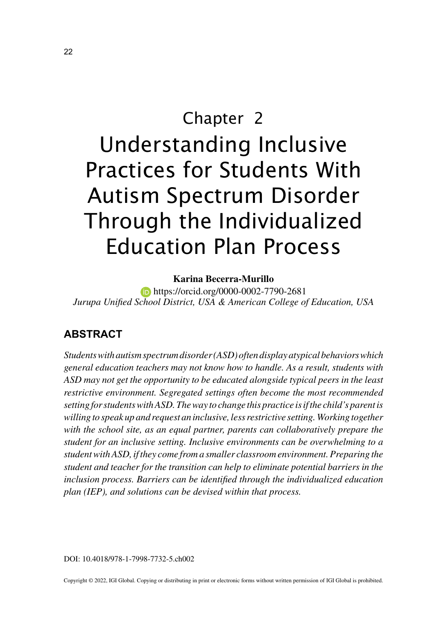# Chapter 2 Understanding Inclusive Practices for Students With Autism Spectrum Disorder Through the Individualized Education Plan Process

#### **Karina Becerra-Murillo**

**https://orcid.org/0000-0002-7790-2681** *Jurupa Unified School District, USA & American College of Education, USA*

# **ABSTRACT**

*Students with autism spectrum disorder (ASD) often display atypical behaviors which general education teachers may not know how to handle. As a result, students with ASD may not get the opportunity to be educated alongside typical peers in the least restrictive environment. Segregated settings often become the most recommended setting for students with ASD. The way to change this practice is if the child's parent is willing to speak up and request an inclusive, less restrictive setting. Working together with the school site, as an equal partner, parents can collaboratively prepare the student for an inclusive setting. Inclusive environments can be overwhelming to a student with ASD, if they come from a smaller classroom environment. Preparing the student and teacher for the transition can help to eliminate potential barriers in the inclusion process. Barriers can be identified through the individualized education plan (IEP), and solutions can be devised within that process.*

DOI: 10.4018/978-1-7998-7732-5.ch002

Copyright © 2022, IGI Global. Copying or distributing in print or electronic forms without written permission of IGI Global is prohibited.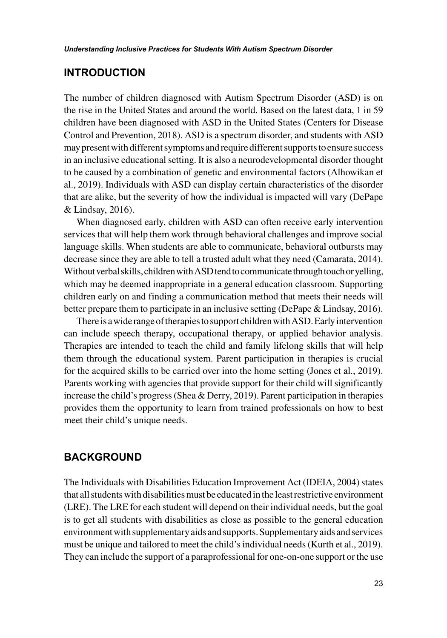## **INTRODUCTION**

The number of children diagnosed with Autism Spectrum Disorder (ASD) is on the rise in the United States and around the world. Based on the latest data, 1 in 59 children have been diagnosed with ASD in the United States (Centers for Disease Control and Prevention, 2018). ASD is a spectrum disorder, and students with ASD may present with different symptoms and require different supports to ensure success in an inclusive educational setting. It is also a neurodevelopmental disorder thought to be caused by a combination of genetic and environmental factors (Alhowikan et al., 2019). Individuals with ASD can display certain characteristics of the disorder that are alike, but the severity of how the individual is impacted will vary (DePape & Lindsay, 2016).

When diagnosed early, children with ASD can often receive early intervention services that will help them work through behavioral challenges and improve social language skills. When students are able to communicate, behavioral outbursts may decrease since they are able to tell a trusted adult what they need (Camarata, 2014). Without verbal skills, children with ASD tend to communicate through touch or yelling, which may be deemed inappropriate in a general education classroom. Supporting children early on and finding a communication method that meets their needs will better prepare them to participate in an inclusive setting (DePape & Lindsay, 2016).

There is a wide range of therapies to support children with ASD. Early intervention can include speech therapy, occupational therapy, or applied behavior analysis. Therapies are intended to teach the child and family lifelong skills that will help them through the educational system. Parent participation in therapies is crucial for the acquired skills to be carried over into the home setting (Jones et al., 2019). Parents working with agencies that provide support for their child will significantly increase the child's progress (Shea & Derry, 2019). Parent participation in therapies provides them the opportunity to learn from trained professionals on how to best meet their child's unique needs.

## **BACKGROUND**

The Individuals with Disabilities Education Improvement Act (IDEIA, 2004) states that all students with disabilities must be educated in the least restrictive environment (LRE). The LRE for each student will depend on their individual needs, but the goal is to get all students with disabilities as close as possible to the general education environment with supplementary aids and supports. Supplementary aids and services must be unique and tailored to meet the child's individual needs (Kurth et al., 2019). They can include the support of a paraprofessional for one-on-one support or the use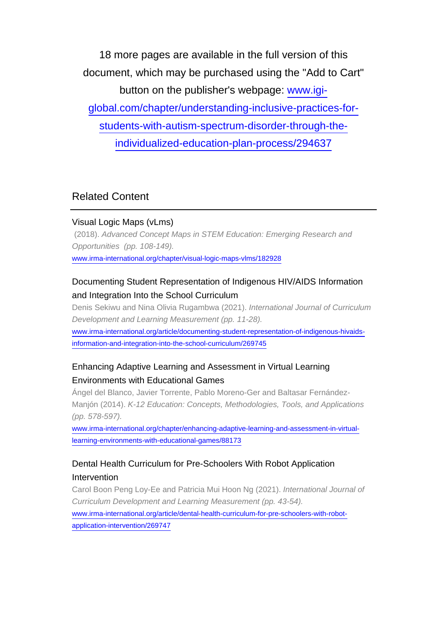18 more pages are available in the full version of this document, which may be purchased using the "Add to Cart" button on the publisher's webpage: [www.igi](http://www.igi-global.com/chapter/understanding-inclusive-practices-for-students-with-autism-spectrum-disorder-through-the-individualized-education-plan-process/294637)[global.com/chapter/understanding-inclusive-practices-for](http://www.igi-global.com/chapter/understanding-inclusive-practices-for-students-with-autism-spectrum-disorder-through-the-individualized-education-plan-process/294637)[students-with-autism-spectrum-disorder-through-the](http://www.igi-global.com/chapter/understanding-inclusive-practices-for-students-with-autism-spectrum-disorder-through-the-individualized-education-plan-process/294637)[individualized-education-plan-process/294637](http://www.igi-global.com/chapter/understanding-inclusive-practices-for-students-with-autism-spectrum-disorder-through-the-individualized-education-plan-process/294637)

# Related Content

#### Visual Logic Maps (vLms)

 (2018). Advanced Concept Maps in STEM Education: Emerging Research and Opportunities (pp. 108-149). [www.irma-international.org/chapter/visual-logic-maps-vlms/182928](http://www.irma-international.org/chapter/visual-logic-maps-vlms/182928)

## Documenting Student Representation of Indigenous HIV/AIDS Information and Integration Into the School Curriculum

Denis Sekiwu and Nina Olivia Rugambwa (2021). International Journal of Curriculum Development and Learning Measurement (pp. 11-28).

[www.irma-international.org/article/documenting-student-representation-of-indigenous-hivaids](http://www.irma-international.org/article/documenting-student-representation-of-indigenous-hivaids-information-and-integration-into-the-school-curriculum/269745)[information-and-integration-into-the-school-curriculum/269745](http://www.irma-international.org/article/documenting-student-representation-of-indigenous-hivaids-information-and-integration-into-the-school-curriculum/269745)

## Enhancing Adaptive Learning and Assessment in Virtual Learning Environments with Educational Games

Ángel del Blanco, Javier Torrente, Pablo Moreno-Ger and Baltasar Fernández-Manjón (2014). K-12 Education: Concepts, Methodologies, Tools, and Applications (pp. 578-597).

[www.irma-international.org/chapter/enhancing-adaptive-learning-and-assessment-in-virtual](http://www.irma-international.org/chapter/enhancing-adaptive-learning-and-assessment-in-virtual-learning-environments-with-educational-games/88173)[learning-environments-with-educational-games/88173](http://www.irma-international.org/chapter/enhancing-adaptive-learning-and-assessment-in-virtual-learning-environments-with-educational-games/88173)

### Dental Health Curriculum for Pre-Schoolers With Robot Application Intervention

Carol Boon Peng Loy-Ee and Patricia Mui Hoon Ng (2021). International Journal of Curriculum Development and Learning Measurement (pp. 43-54).

[www.irma-international.org/article/dental-health-curriculum-for-pre-schoolers-with-robot](http://www.irma-international.org/article/dental-health-curriculum-for-pre-schoolers-with-robot-application-intervention/269747)[application-intervention/269747](http://www.irma-international.org/article/dental-health-curriculum-for-pre-schoolers-with-robot-application-intervention/269747)